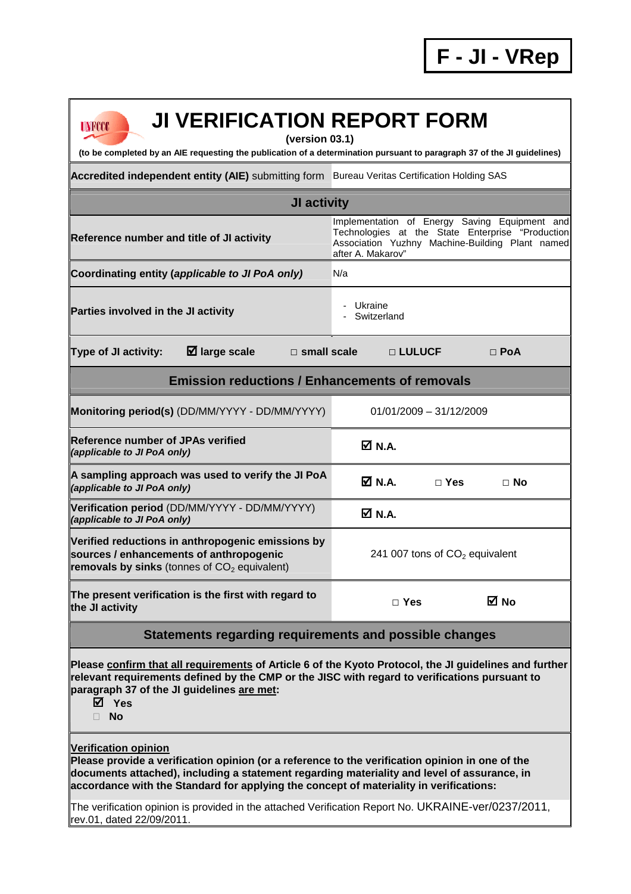| <b>JI VERIFICATION REPORT FORM</b>                                                                                                                                                                                                                                                                               |                                                                                                                                                                           |  |  |  |  |  |
|------------------------------------------------------------------------------------------------------------------------------------------------------------------------------------------------------------------------------------------------------------------------------------------------------------------|---------------------------------------------------------------------------------------------------------------------------------------------------------------------------|--|--|--|--|--|
| UNFCCC<br>(version 03.1)<br>(to be completed by an AIE requesting the publication of a determination pursuant to paragraph 37 of the JI guidelines)                                                                                                                                                              |                                                                                                                                                                           |  |  |  |  |  |
| Accredited independent entity (AIE) submitting form Bureau Veritas Certification Holding SAS                                                                                                                                                                                                                     |                                                                                                                                                                           |  |  |  |  |  |
| JI activity                                                                                                                                                                                                                                                                                                      |                                                                                                                                                                           |  |  |  |  |  |
| Reference number and title of JI activity                                                                                                                                                                                                                                                                        | Implementation of Energy Saving Equipment and<br>Technologies at the State Enterprise "Production<br>Association Yuzhny Machine-Building Plant named<br>after A. Makarov" |  |  |  |  |  |
| Coordinating entity (applicable to JI PoA only)                                                                                                                                                                                                                                                                  | N/a                                                                                                                                                                       |  |  |  |  |  |
| Parties involved in the JI activity                                                                                                                                                                                                                                                                              | - Ukraine<br>- Switzerland                                                                                                                                                |  |  |  |  |  |
| $\boxtimes$ large scale<br>Type of JI activity:<br>$\square$ small scale                                                                                                                                                                                                                                         | □ LULUCF<br>$\Box$ PoA                                                                                                                                                    |  |  |  |  |  |
| <b>Emission reductions / Enhancements of removals</b>                                                                                                                                                                                                                                                            |                                                                                                                                                                           |  |  |  |  |  |
| Monitoring period(s) (DD/MM/YYYY - DD/MM/YYYY)                                                                                                                                                                                                                                                                   | $01/01/2009 - 31/12/2009$                                                                                                                                                 |  |  |  |  |  |
| <b>Reference number of JPAs verified</b><br>(applicable to JI PoA only)                                                                                                                                                                                                                                          | <b>Ø</b> N.A.                                                                                                                                                             |  |  |  |  |  |
| A sampling approach was used to verify the JI PoA<br>(applicable to JI PoA only)                                                                                                                                                                                                                                 | M N.A.<br>$\Box$ Yes<br>$\Box$ No                                                                                                                                         |  |  |  |  |  |
| Verification period (DD/MM/YYYY - DD/MM/YYYY)<br>(applicable to JI PoA only)                                                                                                                                                                                                                                     | M N.A.                                                                                                                                                                    |  |  |  |  |  |
| Verified reductions in anthropogenic emissions by<br>sources / enhancements of anthropogenic<br>removals by sinks (tonnes of $CO2$ equivalent)                                                                                                                                                                   | 241 007 tons of CO <sub>2</sub> equivalent                                                                                                                                |  |  |  |  |  |
| The present verification is the first with regard to<br>the JI activity                                                                                                                                                                                                                                          | <b>⊠</b> No<br>$\Box$ Yes                                                                                                                                                 |  |  |  |  |  |
| Statements regarding requirements and possible changes                                                                                                                                                                                                                                                           |                                                                                                                                                                           |  |  |  |  |  |
| Please confirm that all requirements of Article 6 of the Kyoto Protocol, the JI guidelines and further<br>relevant requirements defined by the CMP or the JISC with regard to verifications pursuant to<br>paragraph 37 of the JI guidelines are met:<br>⊠ Yes<br><b>No</b>                                      |                                                                                                                                                                           |  |  |  |  |  |
| Verification opinion<br>Please provide a verification opinion (or a reference to the verification opinion in one of the<br>documents attached), including a statement regarding materiality and level of assurance, in<br>accordance with the Standard for applying the concept of materiality in verifications: |                                                                                                                                                                           |  |  |  |  |  |

The verification opinion is provided in the attached Verification Report No. UKRAINE-ver/0237/2011, rev.01, dated 22/09/2011.